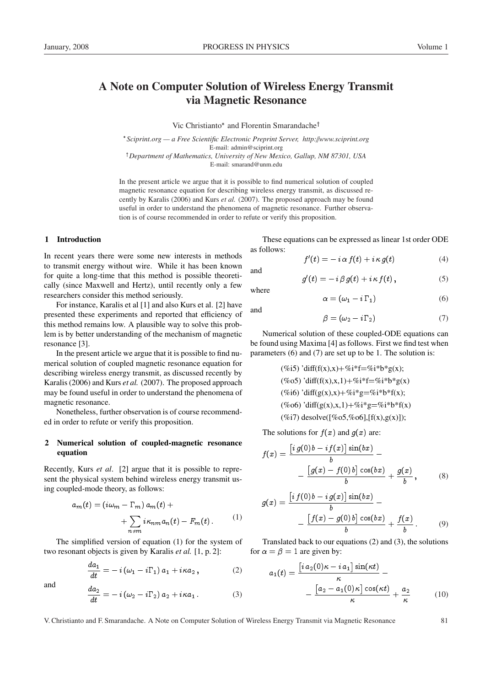# A Note on Computer Solution of Wireless Energy Transmit via Magnetic Resonance

Vic Christianto<sup>\*</sup> and Florentin Smarandache<sup>†</sup>

 *Sciprint.org — a Free Scientific Electronic Preprint Server, http:*//*www.sciprint.org* E-mail: admin@sciprint.org <sup>†</sup>Department of Mathematics, University of New Mexico, Gallup, NM 87301, USA

E-mail: smarand@unm.edu

In the present article we argue that it is possible to find numerical solution of coupled magnetic resonance equation for describing wireless energy transmit, as discussed recently by Karalis (2006) and Kurs *et al.* (2007). The proposed approach may be found useful in order to understand the phenomena of magnetic resonance. Further observation is of course recommended in order to refute or verify this proposition.

#### 1 Introduction

In recent years there were some new interests in methods to transmit energy without wire. While it has been known for quite a long-time that this method is possible theoretically (since Maxwell and Hertz), until recently only a few researchers consider this method seriously.

For instance, Karalis et al [1] and also Kurs et al. [2] have presented these experiments and reported that efficiency of this method remains low. A plausible way to solve this problem is by better understanding of the mechanism of magnetic resonance [3].

In the present article we argue that it is possible to find numerical solution of coupled magnetic resonance equation for describing wireless energy transmit, as discussed recently by Karalis (2006) and Kurs *et al.* (2007). The proposed approach may be found useful in order to understand the phenomena of magnetic resonance.

Nonetheless, further observation is of course recommended in order to refute or verify this proposition.

## 2 Numerical solution of coupled-magnetic resonance equation

Recently, Kurs *et al*. [2] argue that it is possible to represent the physical system behind wireless energy transmit using coupled-mode theory, as follows:

$$
a_m(t) = (iw_m - \Gamma_m) a_m(t) ++ \sum_{n \neq m} i \kappa_{nm} a_n(t) - F_m(t).
$$
 (1)

The simplified version of equation (1) for the system of two resonant objects is given by Karalis *et al.* [1, p. 2]:

$$
\frac{da_1}{dt} = -i\left(\omega_1 - i\Gamma_1\right)a_1 + i\kappa a_2\,,\tag{2}
$$

$$
\quad\text{and}\quad
$$

and 
$$
\frac{da_2}{dt} = -i(\omega_2 - i\Gamma_2) a_2 + i\kappa a_1.
$$
 (3)

These equations can be expressed as linear 1st order ODE as follows:

$$
f'(t) = -i \alpha f(t) + i \kappa g(t) \tag{4}
$$

$$
g'(t) = -i\beta g(t) + i\kappa f(t) , \qquad (5)
$$

where

and

and

$$
\alpha = (\omega_1 - i\Gamma_1) \tag{6}
$$

$$
\beta = (\omega_2 - i\Gamma_2) \tag{7}
$$

Numerical solution of these coupled-ODE equations can be found using Maxima [4] as follows. First we find test when parameters (6) and (7) are set up to be 1. The solution is:

(%i5) 'diff(f(x),x)+%i\*f=%i\*b\*g(x); (%o5) 'diff(f(x),x,1)+%i\*f=%i\*b\*g(x) (%i6) 'diff(g(x),x)+%i\*g=%i\*b\*f(x); (%o6) 'diff(g(x),x,1)+%i\*g=%i\*b\*f(x) (%i7) desolve([%o5,%o6],[f(x),g(x)]);

The solutions for  $f(x)$  and  $g(x)$  are:

$$
f(x) = \frac{\left[i g(0) b - i f(x)\right] \sin(bx)}{b} - \frac{\left[g(x) - f(0) b\right] \cos(bx)}{b} + \frac{g(x)}{b}, \quad (8)
$$

$$
g(x) = \frac{\left[i f(0) b - i g(x)\right] \sin(bx)}{b} - \frac{\left[f(x) - g(0) b\right] \cos(bx)}{b} + \frac{f(x)}{b}.
$$
 (9)

Translated back to our equations (2) and (3), the solutions for  $\alpha = \beta = 1$  are given by:

$$
a_1(t) = \frac{\begin{bmatrix} i a_2(0) \kappa - i a_1 \end{bmatrix} \sin(\kappa t)}{\kappa} - \frac{\begin{bmatrix} a_2 - a_1(0) \kappa \end{bmatrix} \cos(\kappa t)}{\kappa} + \frac{a_2}{\kappa}
$$
(10)

V. Christianto and F. Smarandache. A Note on Computer Solution of Wireless Energy Transmit via Magnetic Resonance 81